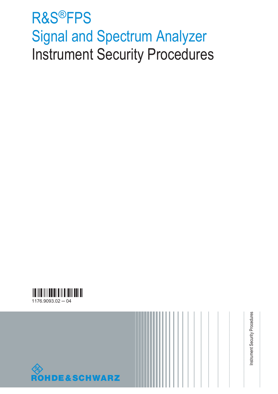# R&S®FPS Signal and Spectrum Analyzer Instrument Security Procedures





Instrument Security Procedures Instrument Security Procedures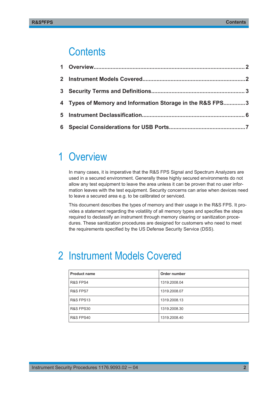### **Contents**

| 4 Types of Memory and Information Storage in the R&S FPS3 |  |
|-----------------------------------------------------------|--|
|                                                           |  |
|                                                           |  |

### 1 Overview

In many cases, it is imperative that the R&S FPS Signal and Spectrum Analyzers are used in a secured environment. Generally these highly secured environments do not allow any test equipment to leave the area unless it can be proven that no user information leaves with the test equipment. Security concerns can arise when devices need to leave a secured area e.g. to be calibrated or serviced.

This document describes the types of memory and their usage in the R&S FPS. It provides a statement regarding the volatility of all memory types and specifies the steps required to declassify an instrument through memory clearing or sanitization procedures. These sanitization procedures are designed for customers who need to meet the requirements specified by the US Defense Security Service (DSS).

# 2 Instrument Models Covered

| <b>Product name</b> | Order number |  |  |
|---------------------|--------------|--|--|
| R&S FPS4            | 1319.2008.04 |  |  |
| R&S FPS7            | 1319.2008.07 |  |  |
| R&S FPS13           | 1319.2008.13 |  |  |
| R&S FPS30           | 1319.2008.30 |  |  |
| R&S FPS40           | 1319.2008.40 |  |  |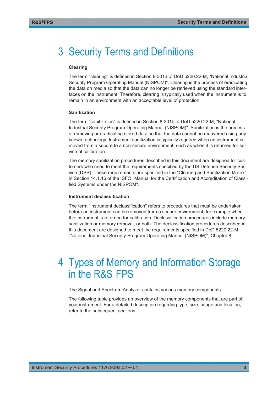## <span id="page-2-0"></span>3 Security Terms and Definitions

#### **Clearing**

The term "clearing" is defined in Section 8-301a of DoD 5220.22-M, "National Industrial Security Program Operating Manual (NISPOM)". Clearing is the process of eradicating the data on media so that the data can no longer be retrieved using the standard interfaces on the instrument. Therefore, clearing is typically used when the instrument is to remain in an environment with an acceptable level of protection.

#### **Sanitization**

The term "sanitization" is defined in Section 8-301b of DoD 5220.22-M, "National Industrial Security Program Operating Manual (NISPOM)". Sanitization is the process of removing or eradicating stored data so that the data cannot be recovered using any known technology. Instrument sanitization is typically required when an instrument is moved from a secure to a non-secure environment, such as when it is returned for service of calibration.

The memory sanitization procedures described in this document are designed for customers who need to meet the requirements specified by the US Defense Security Service (DSS). These requirements are specified in the "Clearing and Sanitization Matrix" in Section 14.1.16 of the ISFO "Manual for the Certification and Accreditation of Classified Systems under the NISPOM".

#### **Instrument declassification**

The term "instrument declassification" refers to procedures that must be undertaken before an instrument can be removed from a secure environment, for example when the instrument is returned for calibration. Declassification procedures include memory sanitization or memory removal, or both. The declassification procedures described in this document are designed to meet the requirements specified in DoD 5220.22-M, "National Industrial Security Program Operating Manual (NISPOM)", Chapter 8.

### 4 Types of Memory and Information Storage in the R&S FPS

The Signal and Spectrum Analyzer contains various memory components.

The following table provides an overview of the memory components that are part of your instrument. For a detailed description regarding type, size, usage and location, refer to the subsequent sections.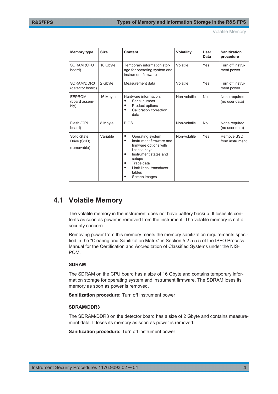Volatile Memory

| <b>Memory type</b>                                                                | <b>Size</b> | <b>Content</b>                                                                                                                                                                                                                            | <b>Volatility</b> | User<br>Data | Sanitization<br>procedure       |
|-----------------------------------------------------------------------------------|-------------|-------------------------------------------------------------------------------------------------------------------------------------------------------------------------------------------------------------------------------------------|-------------------|--------------|---------------------------------|
| <b>SDRAM (CPU</b><br>board)                                                       | 16 Gbyte    | Temporary information stor-<br>age for operating system and<br>instrument firmware                                                                                                                                                        | Volatile          | Yes          | Turn off instru-<br>ment power  |
| SDRAM/DDR3<br>(detector board)                                                    | 2 Gbyte     | Measurement data                                                                                                                                                                                                                          | Volatile          | Yes          | Turn off instru-<br>ment power  |
| 16 Mbyte<br><b>EEPROM</b><br>$\bullet$<br>(board assem-<br>٠<br>bly)<br>$\bullet$ |             | Hardware information:<br>Serial number<br>Product options<br>Calibration correction<br>data                                                                                                                                               | Non-volatile      | <b>No</b>    | None required<br>(no user data) |
| Flash (CPU<br>board)                                                              | 8 Mbyte     | <b>BIOS</b>                                                                                                                                                                                                                               | Non-volatile      | <b>No</b>    | None required<br>(no user data) |
| Solid-State<br>Drive (SSD)<br>(removable)                                         | Variable    | Operating system<br>٠<br>Instrument firmware and<br>$\bullet$<br>firmware options with<br>license keys<br>Instrument states and<br>$\bullet$<br>setups<br>Trace data<br>٠<br>Limit lines, transducer<br>٠<br>tables<br>Screen images<br>٠ | Non-volatile      | Yes          | Remove SSD<br>from instrument   |

### **4.1 Volatile Memory**

The volatile memory in the instrument does not have battery backup. It loses its contents as soon as power is removed from the instrument. The volatile memory is not a security concern.

Removing power from this memory meets the memory sanitization requirements specified in the "Clearing and Sanitization Matrix" in Section 5.2.5.5.5 of the ISFO Process Manual for the Certification and Accreditation of Classified Systems under the NIS-POM.

#### **SDRAM**

The SDRAM on the CPU board has a size of 16 Gbyte and contains temporary information storage for operating system and instrument firmware. The SDRAM loses its memory as soon as power is removed.

**Sanitization procedure:** Turn off instrument power

#### **SDRAM/DDR3**

The SDRAM/DDR3 on the detector board has a size of 2 Gbyte and contains measurement data. It loses its memory as soon as power is removed.

**Sanitization procedure:** Turn off instrument power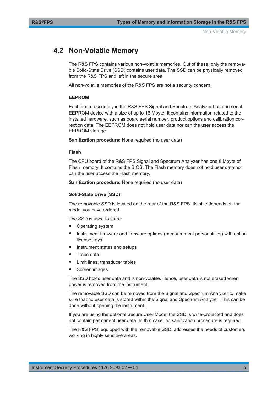### **4.2 Non-Volatile Memory**

The R&S FPS contains various non-volatile memories. Out of these, only the removable Solid-State Drive (SSD) contains user data. The SSD can be physically removed from the R&S FPS and left in the secure area.

All non-volatile memories of the R&S FPS are not a security concern.

#### **EEPROM**

Each board assembly in the R&S FPS Signal and Spectrum Analyzer has one serial EEPROM device with a size of up to 16 Mbyte. It contains information related to the installed hardware, such as board serial number, product options and calibration correction data. The EEPROM does not hold user data nor can the user access the EEPROM storage.

**Sanitization procedure:** None required (no user data)

#### **Flash**

The CPU board of the R&S FPS Signal and Spectrum Analyzer has one 8 Mbyte of Flash memory. It contains the BIOS. The Flash memory does not hold user data nor can the user access the Flash memory.

**Sanitization procedure:** None required (no user data)

#### **Solid-State Drive (SSD)**

The removable SSD is located on the rear of the R&S FPS. Its size depends on the model you have ordered.

The SSD is used to store:

- **Operating system**
- Instrument firmware and firmware options (measurement personalities) with option license keys
- Instrument states and setups
- **Trace data**
- Limit lines, transducer tables
- Screen images

The SSD holds user data and is non-volatile. Hence, user data is not erased when power is removed from the instrument.

The removable SSD can be removed from the Signal and Spectrum Analyzer to make sure that no user data is stored within the Signal and Spectrum Analyzer. This can be done without opening the instrument.

If you are using the optional Secure User Mode, the SSD is write-protected and does not contain permanent user data. In that case, no sanitization procedure is required.

The R&S FPS, equipped with the removable SSD, addresses the needs of customers working in highly sensitive areas.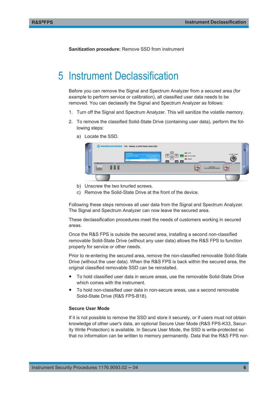<span id="page-5-0"></span>**Sanitization procedure:** Remove SSD from instrument

### 5 Instrument Declassification

Before you can remove the Signal and Spectrum Analyzer from a secured area (for example to perform service or calibration), all classified user data needs to be removed. You can declassify the Signal and Spectrum Analyzer as follows:

- 1. Turn off the Signal and Spectrum Analyzer. This will sanitize the volatile memory.
- 2. To remove the classified Solid-State Drive (containing user data), perform the following steps:
	- a) Locate the SSD.

|  |        |                               | <b>EXPROHDE &amp; SCHWARZ FPS · SIGNAL &amp; SPECTRUM ANALYZER</b> |                                                |                                            |                                                        |                                                |                               |  |
|--|--------|-------------------------------|--------------------------------------------------------------------|------------------------------------------------|--------------------------------------------|--------------------------------------------------------|------------------------------------------------|-------------------------------|--|
|  | $\Box$ | $\mathcal{A}_{\mathcal{C}}$ . | <b>TIJORK</b><br>COMPUTER NAME<br><b>JUBNET</b>                    | FPS40-100005 +<br>192.168.1.1<br>255.255.255.0 | ⇦<br>$\sqrt{2}$<br>$PATE$ $R = 1$<br>$155$ | $\Box$ $\Box$<br>WAIT FOR TRIGGER<br><b>CO</b> WANNING | <b>SSD</b>                                     | / MAX +30 dBm<br><b>RF IN</b> |  |
|  |        | П                             |                                                                    |                                                |                                            |                                                        | SYSTEM DRIVE<br>DO NOT REMOVE DURING OPERATION |                               |  |
|  |        |                               |                                                                    |                                                |                                            |                                                        |                                                |                               |  |

- b) Unscrew the two knurled screws.
- c) Remove the Solid-State Drive at the front of the device.

Following these steps removes all user data from the Signal and Spectrum Analyzer. The Signal and Spectrum Analyzer can now leave the secured area.

These declassification procedures meet the needs of customers working in secured areas.

Once the R&S FPS is outside the secured area, installing a second non-classified removable Solid-State Drive (without any user data) allows the R&S FPS to function properly for service or other needs.

Prior to re-entering the secured area, remove the non-classified removable Solid-State Drive (without the user data). When the R&S FPS is back within the secured area, the original classified removable SSD can be reinstalled.

- To hold classified user data in secure areas, use the removable Solid-State Drive which comes with the instrument.
- To hold non-classified user data in non-secure areas, use a second removable Solid-State Drive (R&S FPS-B18).

#### **Secure User Mode**

If it is not possible to remove the SSD and store it securely, or if users must not obtain knowledge of other user's data, an optional Secure User Mode (R&S FPS-K33, Security Write Protection) is available. In Secure User Mode, the SSD is write-protected so that no information can be written to memory permanently. Data that the R&S FPS nor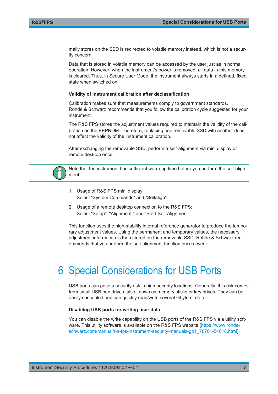<span id="page-6-0"></span>mally stores on the SSD is redirected to volatile memory instead, which is not a security concern.

Data that is stored in volatile memory can be accessed by the user just as in normal operation. However, when the instrument's power is removed, all data in this memory is cleared. Thus, in Secure User Mode, the instrument always starts in a defined, fixed state when switched on.

#### **Validity of instrument calibration after declassification**

Calibration makes sure that measurements comply to government standards. Rohde & Schwarz recommends that you follow the calibration cycle suggested for your instrument.

The R&S FPS stores the adjustment values required to maintain the validity of the calibration on the EEPROM. Therefore, replacing one removable SSD with another does not affect the validity of the instrument calibration.

After exchanging the removable SSD, perform a self-alignment via mini display or remote desktop once:



Note that the instrument has sufficient warm-up time before you perform the self-alignment.

- 1. Usage of R&S FPS mini display: Select "System Commands" and "Selfalign".
- 2. Usage of a remote desktop connection to the R&S FPS: Select "Setup", "Alignment " and "Start Self Alignment".

This function uses the high-stability internal reference generator to produce the temporary adjustment values. Using the permanent and temporary values, the necessary adjustment information is then stored on the removable SSD. Rohde & Schwarz recommends that you perform the self-alignment function once a week.

### 6 Special Considerations for USB Ports

USB ports can pose a security risk in high-security locations. Generally, this risk comes from small USB pen drives, also known as memory sticks or key drives. They can be easily concealed and can quickly read/write several Gbyte of data.

#### **Disabling USB ports for writing user data**

You can disable the write capability on the USB ports of the R&S FPS via a utility software. This utility software is available on the R&S FPS website ([https://www.rohde](https://www.rohde-schwarz.com/manual/r-s-fps-instrument-security-manuals-gb1_78701-54618.html)[schwarz.com/manual/r-s-fps-instrument-security-manuals-gb1\\_78701-54618.html\)](https://www.rohde-schwarz.com/manual/r-s-fps-instrument-security-manuals-gb1_78701-54618.html).